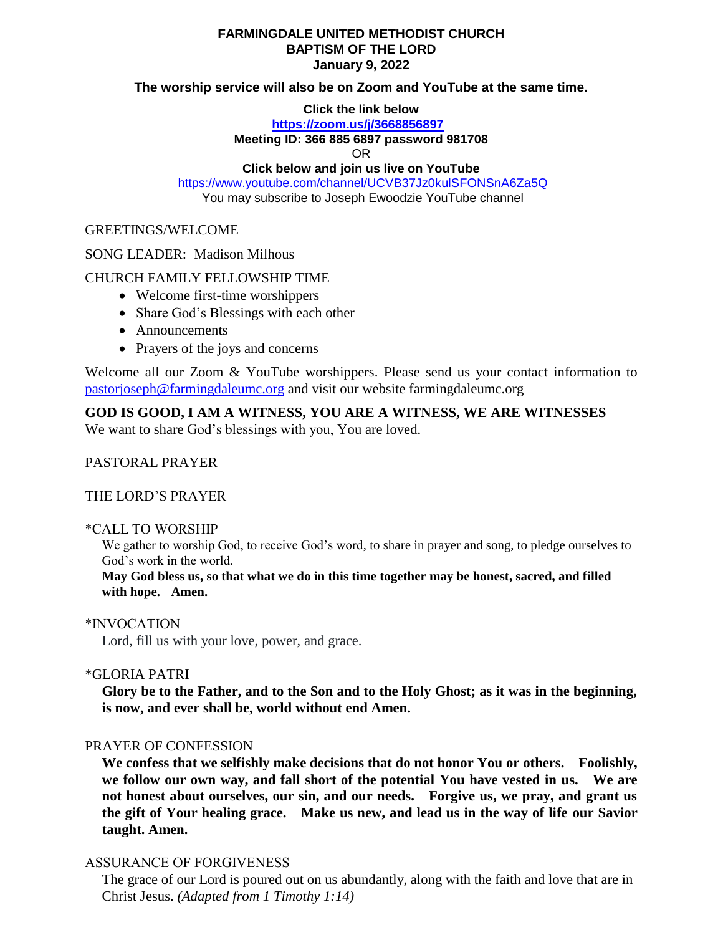## **FARMINGDALE UNITED METHODIST CHURCH BAPTISM OF THE LORD January 9, 2022**

## **The worship service will also be on Zoom and YouTube at the same time.**

## **Click the link below**

# **<https://zoom.us/j/3668856897>**

## **Meeting ID: 366 885 6897 password 981708**

OR

# **Click below and join us live on YouTube**

<https://www.youtube.com/channel/UCVB37Jz0kulSFONSnA6Za5Q> You may subscribe to Joseph Ewoodzie YouTube channel

## GREETINGS/WELCOME

## SONG LEADER: Madison Milhous

## CHURCH FAMILY FELLOWSHIP TIME

- Welcome first-time worshippers
- Share God's Blessings with each other
- Announcements
- Prayers of the joys and concerns

Welcome all our Zoom & YouTube worshippers. Please send us your contact information to [pastorjoseph@farmingdaleumc.org](mailto:pastorjoseph@farmingdaleumc.org) and visit our website farmingdaleumc.org

# **GOD IS GOOD, I AM A WITNESS, YOU ARE A WITNESS, WE ARE WITNESSES**

We want to share God's blessings with you, You are loved.

# PASTORAL PRAYER

### THE LORD'S PRAYER

### \*CALL TO WORSHIP

We gather to worship God, to receive God's word, to share in prayer and song, to pledge ourselves to God's work in the world.

**May God bless us, so that what we do in this time together may be honest, sacred, and filled with hope. Amen.**

### \*INVOCATION

Lord, fill us with your love, power, and grace.

### \*GLORIA PATRI

**Glory be to the Father, and to the Son and to the Holy Ghost; as it was in the beginning, is now, and ever shall be, world without end Amen.**

### PRAYER OF CONFESSION

**We confess that we selfishly make decisions that do not honor You or others. Foolishly, we follow our own way, and fall short of the potential You have vested in us. We are not honest about ourselves, our sin, and our needs. Forgive us, we pray, and grant us the gift of Your healing grace. Make us new, and lead us in the way of life our Savior taught. Amen.**

## ASSURANCE OF FORGIVENESS

The grace of our Lord is poured out on us abundantly, along with the faith and love that are in Christ Jesus. *(Adapted from 1 Timothy 1:14)*